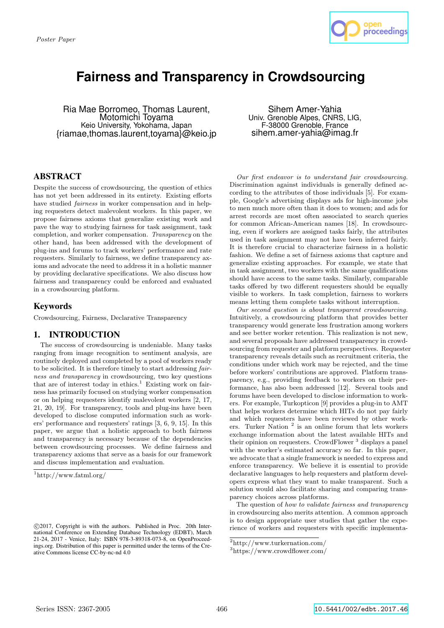

# **Fairness and Transparency in Crowdsourcing**

Ria Mae Borromeo, Thomas Laurent, Motomichi Toyama Keio University, Yokohama, Japan {riamae,thomas.laurent,toyama}@keio.jp

Sihem Amer-Yahia Univ. Grenoble Alpes, CNRS, LIG, F-38000 Grenoble, France sihem.amer-yahia@imag.fr

# ABSTRACT

Despite the success of crowdsourcing, the question of ethics has not yet been addressed in its entirety. Existing efforts have studied *fairness* in worker compensation and in helping requesters detect malevolent workers. In this paper, we propose fairness axioms that generalize existing work and pave the way to studying fairness for task assignment, task completion, and worker compensation. Transparency on the other hand, has been addressed with the development of plug-ins and forums to track workers' performance and rate requesters. Similarly to fairness, we define transparency axioms and advocate the need to address it in a holistic manner by providing declarative specifications. We also discuss how fairness and transparency could be enforced and evaluated in a crowdsourcing platform.

## Keywords

Crowdsourcing, Fairness, Declarative Transparency

## 1. INTRODUCTION

The success of crowdsourcing is undeniable. Many tasks ranging from image recognition to sentiment analysis, are routinely deployed and completed by a pool of workers ready to be solicited. It is therefore timely to start addressing fairness and transparency in crowdsourcing, two key questions that are of interest today in ethics.<sup>1</sup> Existing work on fairness has primarily focused on studying worker compensation or on helping requesters identify malevolent workers [2, 17, 21, 20, 19]. For transparency, tools and plug-ins have been developed to disclose computed information such as workers' performance and requesters' ratings [3, 6, 9, 15]. In this paper, we argue that a holistic approach to both fairness and transparency is necessary because of the dependencies between crowdsourcing processes. We define fairness and transparency axioms that serve as a basis for our framework and discuss implementation and evaluation.

Our first endeavor is to understand fair crowdsourcing. Discrimination against individuals is generally defined according to the attributes of those individuals [5]. For example, Google's advertising displays ads for high-income jobs to men much more often than it does to women; and ads for arrest records are most often associated to search queries for common African-American names [18]. In crowdsourcing, even if workers are assigned tasks fairly, the attributes used in task assignment may not have been inferred fairly. It is therefore crucial to characterize fairness in a holistic fashion. We define a set of fairness axioms that capture and generalize existing approaches. For example, we state that in task assignment, two workers with the same qualifications should have access to the same tasks. Similarly, comparable tasks offered by two different requesters should be equally visible to workers. In task completion, fairness to workers means letting them complete tasks without interruption.

Our second question is about transparent crowdsourcing. Intuitively, a crowdsourcing platform that provides better transparency would generate less frustration among workers and see better worker retention. This realization is not new, and several proposals have addressed transparency in crowdsourcing from requester and platform perspectives. Requester transparency reveals details such as recruitment criteria, the conditions under which work may be rejected, and the time before workers' contributions are approved. Platform transparency, e.g., providing feedback to workers on their performance, has also been addressed [12]. Several tools and forums have been developed to disclose information to workers. For example, Turkopticon [9] provides a plug-in to AMT that helps workers determine which HITs do not pay fairly and which requesters have been reviewed by other workers. Turker Nation<sup>2</sup> is an online forum that lets workers exchange information about the latest available HITs and their opinion on requesters. CrowdFlower<sup>3</sup> displays a panel with the worker's estimated accuracy so far. In this paper, we advocate that a single framework is needed to express and enforce transparency. We believe it is essential to provide declarative languages to help requesters and platform developers express what they want to make transparent. Such a solution would also facilitate sharing and comparing transparency choices across platforms.

The question of how to validate fairness and transparency in crowdsourcing also merits attention. A common approach is to design appropriate user studies that gather the experience of workers and requesters with specific implementa-

<sup>1</sup>http://www.fatml.org/

c 2017, Copyright is with the authors. Published in Proc. 20th International Conference on Extending Database Technology (EDBT), March 21-24, 2017 - Venice, Italy: ISBN 978-3-89318-073-8, on OpenProceedings.org. Distribution of this paper is permitted under the terms of the Creative Commons license CC-by-nc-nd 4.0

<sup>2</sup>http://www.turkernation.com/

<sup>3</sup>https://www.crowdflower.com/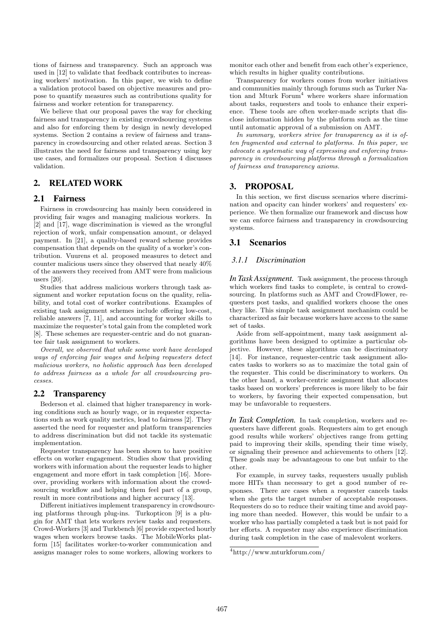tions of fairness and transparency. Such an approach was used in [12] to validate that feedback contributes to increasing workers' motivation. In this paper, we wish to define a validation protocol based on objective measures and propose to quantify measures such as contributions quality for fairness and worker retention for transparency.

We believe that our proposal paves the way for checking fairness and transparency in existing crowdsourcing systems and also for enforcing them by design in newly developed systems. Section 2 contains a review of fairness and transparency in crowdsourcing and other related areas. Section 3 illustrates the need for fairness and transparency using key use cases, and formalizes our proposal. Section 4 discusses validation.

# 2. RELATED WORK

## 2.1 Fairness

Fairness in crowdsourcing has mainly been considered in providing fair wages and managing malicious workers. In [2] and [17], wage discrimination is viewed as the wrongful rejection of work, unfair compensation amount, or delayed payment. In [21], a quality-based reward scheme provides compensation that depends on the quality of a worker's contribution. Vuurens et al. proposed measures to detect and counter malicious users since they observed that nearly 40% of the answers they received from AMT were from malicious users [20].

Studies that address malicious workers through task assignment and worker reputation focus on the quality, reliability, and total cost of worker contributions. Examples of existing task assignment schemes include offering low-cost, reliable answers [7, 11], and accounting for worker skills to maximize the requester's total gain from the completed work [8]. These schemes are requester-centric and do not guarantee fair task assignment to workers.

Overall, we observed that while some work have developed ways of enforcing fair wages and helping requesters detect malicious workers, no holistic approach has been developed to address fairness as a whole for all crowdsourcing processes.

## 2.2 Transparency

Bederson et al. claimed that higher transparency in working conditions such as hourly wage, or in requester expectations such as work quality metrics, lead to fairness [2]. They asserted the need for requester and platform transparencies to address discrimination but did not tackle its systematic implementation.

Requester transparency has been shown to have positive effects on worker engagement. Studies show that providing workers with information about the requester leads to higher engagement and more effort in task completion [16]. Moreover, providing workers with information about the crowdsourcing workflow and helping them feel part of a group, result in more contributions and higher accuracy [13].

Different initiatives implement transparency in crowdsourcing platforms through plug-ins. Turkopticon [9] is a plugin for AMT that lets workers review tasks and requesters. Crowd-Workers [3] and Turkbench [6] provide expected hourly wages when workers browse tasks. The MobileWorks platform [15] facilitates worker-to-worker communication and assigns manager roles to some workers, allowing workers to

monitor each other and benefit from each other's experience, which results in higher quality contributions.

Transparency for workers comes from worker initiatives and communities mainly through forums such as Turker Nation and Mturk  $Form<sup>4</sup>$  where workers share information about tasks, requesters and tools to enhance their experience. These tools are often worker-made scripts that disclose information hidden by the platform such as the time until automatic approval of a submission on AMT.

In summary, workers strive for transparency as it is often fragmented and external to platforms. In this paper, we advocate a systematic way of expressing and enforcing transparency in crowdsourcing platforms through a formalization of fairness and transparency axioms.

## 3. PROPOSAL

In this section, we first discuss scenarios where discrimination and opacity can hinder workers' and requesters' experience. We then formalize our framework and discuss how we can enforce fairness and transparency in crowdsourcing systems.

## 3.1 Scenarios

## *3.1.1 Discrimination*

*In Task Assignment.* Task assignment, the process through which workers find tasks to complete, is central to crowdsourcing. In platforms such as AMT and CrowdFlower, requesters post tasks, and qualified workers choose the ones they like. This simple task assignment mechanism could be characterized as fair because workers have access to the same set of tasks.

Aside from self-appointment, many task assignment algorithms have been designed to optimize a particular objective. However, these algorithms can be discriminatory [14]. For instance, requester-centric task assignment allocates tasks to workers so as to maximize the total gain of the requester. This could be discriminatory to workers. On the other hand, a worker-centric assignment that allocates tasks based on workers' preferences is more likely to be fair to workers, by favoring their expected compensation, but may be unfavorable to requesters.

*In Task Completion.* In task completion, workers and requesters have different goals. Requesters aim to get enough good results while workers' objectives range from getting paid to improving their skills, spending their time wisely, or signaling their presence and achievements to others [12]. These goals may be advantageous to one but unfair to the other.

For example, in survey tasks, requesters usually publish more HITs than necessary to get a good number of responses. There are cases when a requester cancels tasks when she gets the target number of acceptable responses. Requesters do so to reduce their waiting time and avoid paying more than needed. However, this would be unfair to a worker who has partially completed a task but is not paid for her efforts. A requester may also experience discrimination during task completion in the case of malevolent workers.

 $^4$ http://www.mturkforum.com/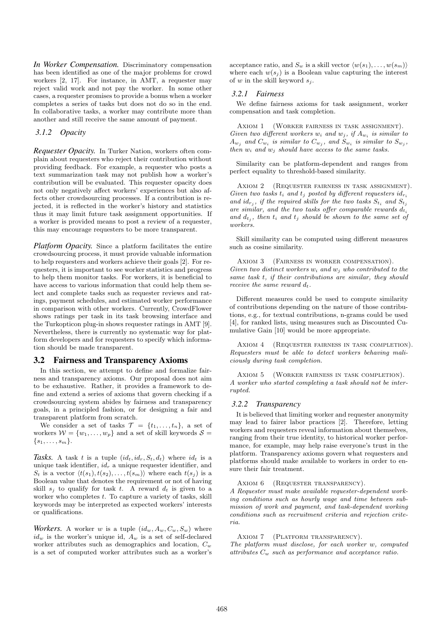*In Worker Compensation.* Discriminatory compensation has been identified as one of the major problems for crowd workers [2, 17]. For instance, in AMT, a requester may reject valid work and not pay the worker. In some other cases, a requester promises to provide a bonus when a worker completes a series of tasks but does not do so in the end. In collaborative tasks, a worker may contribute more than another and still receive the same amount of payment.

## *3.1.2 Opacity*

*Requester Opacity.* In Turker Nation, workers often complain about requesters who reject their contribution without providing feedback. For example, a requester who posts a text summarization task may not publish how a worker's contribution will be evaluated. This requester opacity does not only negatively affect workers' experiences but also affects other crowdsourcing processes. If a contribution is rejected, it is reflected in the worker's history and statistics thus it may limit future task assignment opportunities. If a worker is provided means to post a review of a requester, this may encourage requesters to be more transparent.

*Platform Opacity.* Since a platform facilitates the entire crowdsourcing process, it must provide valuable information to help requesters and workers achieve their goals [2]. For requesters, it is important to see worker statistics and progress to help them monitor tasks. For workers, it is beneficial to have access to various information that could help them select and complete tasks such as requester reviews and ratings, payment schedules, and estimated worker performance in comparison with other workers. Currently, CrowdFlower shows ratings per task in its task browsing interface and the Turkopticon plug-in shows requester ratings in AMT [9]. Nevertheless, there is currently no systematic way for platform developers and for requesters to specify which information should be made transparent.

## 3.2 Fairness and Transparency Axioms

In this section, we attempt to define and formalize fairness and transparency axioms. Our proposal does not aim to be exhaustive. Rather, it provides a framework to define and extend a series of axioms that govern checking if a crowdsourcing system abides by fairness and transparency goals, in a principled fashion, or for designing a fair and transparent platform from scratch.

We consider a set of tasks  $\mathcal{T} = \{t_1, \ldots, t_n\}$ , a set of workers  $W = \{w_1, \ldots, w_p\}$  and a set of skill keywords  $S =$  $\{s_1, \ldots, s_m\}.$ 

Tasks. A task t is a tuple  $(id_t, id_r, S_t, d_t)$  where  $id_t$  is a unique task identifier,  $id_r$  a unique requester identifier, and  $S_t$  is a vector  $\langle t(s_1), t(s_2), \ldots, t(s_m)\rangle$  where each  $t(s_i)$  is a Boolean value that denotes the requirement or not of having skill  $s_i$  to qualify for task t. A reward  $d_t$  is given to a worker who completes  $t$ . To capture a variety of tasks, skill keywords may be interpreted as expected workers' interests or qualifications.

*Workers.* A worker w is a tuple  $(id_w, A_w, C_w, S_w)$  where  $id_w$  is the worker's unique id,  $A_w$  is a set of self-declared worker attributes such as demographics and location,  $C_w$ is a set of computed worker attributes such as a worker's

acceptance ratio, and  $S_w$  is a skill vector  $\langle w(s_1), \ldots, w(s_m) \rangle$ where each  $w(s_i)$  is a Boolean value capturing the interest of w in the skill keyword  $s_i$ .

#### *3.2.1 Fairness*

We define fairness axioms for task assignment, worker compensation and task completion.

AXIOM 1 (WORKER FAIRNESS IN TASK ASSIGNMENT). Given two different workers  $w_i$  and  $w_j$ , if  $A_{w_i}$  is similar to  $A_{w_j}$  and  $C_{w_i}$  is similar to  $C_{w_j}$ , and  $S_{w_i}$  is similar to  $S_{w_j}$ , then  $w_i$  and  $w_j$  should have access to the same tasks.

Similarity can be platform-dependent and ranges from perfect equality to threshold-based similarity.

Axiom 2 (Requester fairness in task assignment). Given two tasks  $t_i$  and  $t_j$  posted by different requesters  $id_{r_i}$ and  $id_{r_j}$ , if the required skills for the two tasks  $S_{t_i}$  and  $S_{t_j}$ are similar, and the two tasks offer comparable rewards  $d_{t_i}$ and  $d_{t_j}$ , then  $t_i$  and  $t_j$  should be shown to the same set of workers.

Skill similarity can be computed using different measures such as cosine similarity.

Axiom 3 (Fairness in worker compensation). Given two distinct workers  $w_i$  and  $w_j$  who contributed to the same task t, if their contributions are similar, they should receive the same reward  $d_t$ .

Different measures could be used to compute similarity of contributions depending on the nature of those contributions, e.g., for textual contributions, n-grams could be used [4], for ranked lists, using measures such as Discounted Cumulative Gain [10] would be more appropriate.

Axiom 4 (Requester fairness in task completion). Requesters must be able to detect workers behaving maliciously during task completion.

Axiom 5 (Worker fairness in task completion). A worker who started completing a task should not be interrupted.

#### *3.2.2 Transparency*

It is believed that limiting worker and requester anonymity may lead to fairer labor practices [2]. Therefore, letting workers and requesters reveal information about themselves, ranging from their true identity, to historical worker performance, for example, may help raise everyone's trust in the platform. Transparency axioms govern what requesters and platforms should make available to workers in order to ensure their fair treatment.

AXIOM 6 (REQUESTER TRANSPARENCY).

A Requester must make available requester-dependent working conditions such as hourly wage and time between submission of work and payment, and task-dependent working conditions such as recruitment criteria and rejection criteria.

AXIOM 7 (PLATFORM TRANSPARENCY).

The platform must disclose, for each worker w, computed attributes  $C_w$  such as performance and acceptance ratio.